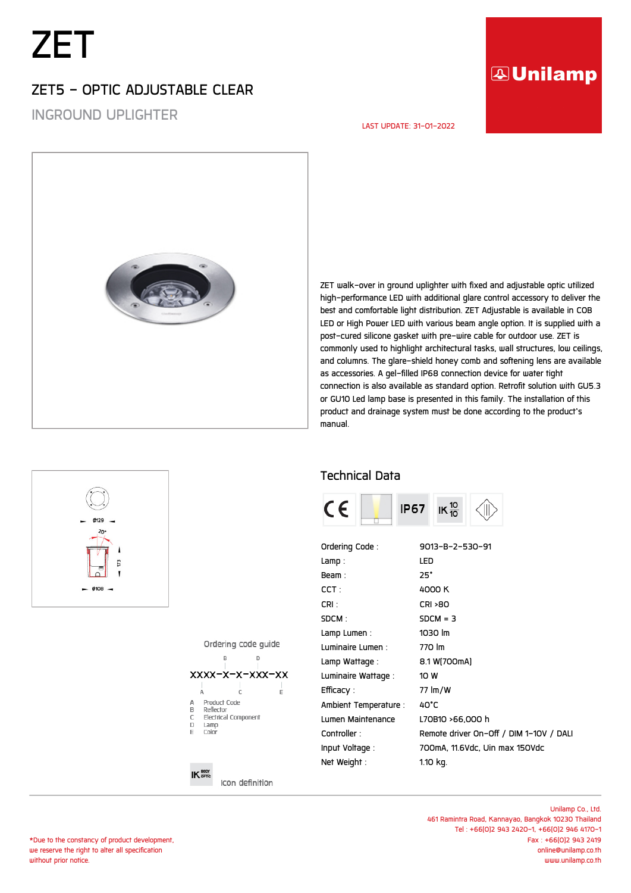# *ZET*

## *ZET5 - OPTIC ADJUSTABLE CLEAR*

*INGROUND UPLIGHTER*

## **AUnilamp**

#### *LAST UPDATE: 31-01-2022*



*ZET walk-over in ground uplighter with fixed and adjustable optic utilized high-performance LED with additional glare control accessory to deliver the best and comfortable light distribution. ZET Adjustable is available in COB LED or High Power LED with various beam angle option. It is supplied with a post-cured silicone gasket with pre-wire cable for outdoor use. ZET is commonly used to highlight architectural tasks, wall structures, low ceilings, and columns. The glare-shield honey comb and softening lens are available as accessories. A gel-filled IP68 connection device for water tight connection is also available as standard option. Retrofit solution with GU5.3 or GU10 Led lamp base is presented in this family. The installation of this product and drainage system must be done according to the product's manual.*

### *Technical Data*



| Ordering Code:        | 9013-B-2-530-91                        |
|-----------------------|----------------------------------------|
| Lamp:                 | LED                                    |
| Beam:                 | $25^\circ$                             |
| CCT :                 | 4000 K                                 |
| CRI:                  | <b>CRI &gt;80</b>                      |
| SDCM:                 | $SDCM = 3$                             |
| Lamp Lumen:           | 1030 lm                                |
| Luminaire Lumen:      | 770 lm                                 |
| Lamp Wattage :        | 8.1 W[700mA]                           |
| Luminaire Wattage:    | 10 W                                   |
| Efficacy :            | 77 lm/W                                |
| Ambient Temperature : | 40°C                                   |
| Lumen Maintenance     | L70B10 >66,000 h                       |
| Controller:           | Remote driver On-Off / DIM 1-10V / DAL |
| Input Voltage:        | 700mA, 11.6Vdc, Uin max 150Vdc         |
| Net Weight:           | 1.10 kg.                               |
|                       |                                        |

Ordering code quide



### $IK \frac{BODY}{BDE}$

Icon definition

*\*Due to the constancy of product development, we reserve the right to alter all specification without prior notice.*

73

 $-$  0108  $-$ 

*Unilamp Co., Ltd. 461 Ramintra Road, Kannayao, Bangkok 10230 Thailand Tel : +66(0)2 943 2420-1, +66(0)2 946 4170-1 Fax : +66(0)2 943 2419 online@unilamp.co.th www.unilamp.co.th*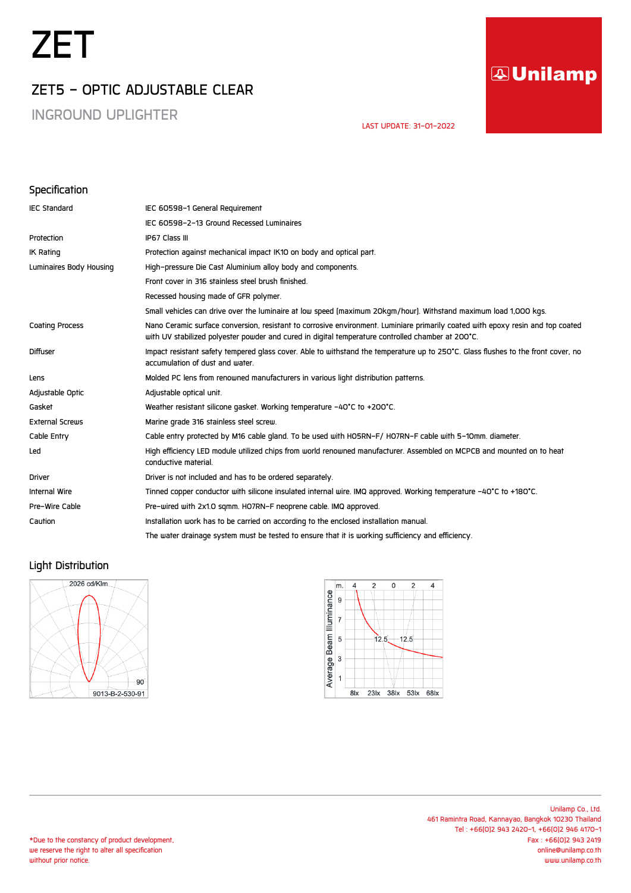# *ZET*

## *ZET5 - OPTIC ADJUSTABLE CLEAR*

*INGROUND UPLIGHTER*

## **AUnilamp**

 *LAST UPDATE: 31-01-2022* 

#### *Specification*

| <b>IEC Standard</b>     | IEC 60598-1 General Requirement                                                                                                                                                                                                      |
|-------------------------|--------------------------------------------------------------------------------------------------------------------------------------------------------------------------------------------------------------------------------------|
|                         | IEC 60598-2-13 Ground Recessed Luminaires                                                                                                                                                                                            |
| Protection              | IP67 Class III                                                                                                                                                                                                                       |
| <b>IK Rating</b>        | Protection against mechanical impact IK10 on body and optical part.                                                                                                                                                                  |
| Luminaires Body Housing | High-pressure Die Cast Aluminium alloy body and components.                                                                                                                                                                          |
|                         | Front cover in 316 stainless steel brush finished.                                                                                                                                                                                   |
|                         | Recessed housing made of GFR polymer.                                                                                                                                                                                                |
|                         | Small vehicles can drive over the luminaire at low speed (maximum 20kgm/hour). Withstand maximum load 1,000 kgs.                                                                                                                     |
| <b>Coating Process</b>  | Nano Ceramic surface conversion, resistant to corrosive environment. Luminiare primarily coated with epoxy resin and top coated<br>with UV stabilized polyester powder and cured in digital temperature controlled chamber at 200°C. |
| <b>Diffuser</b>         | Impact resistant safety tempered glass cover. Able to withstand the temperature up to 250°C. Glass flushes to the front cover, no<br>accumulation of dust and water.                                                                 |
| Lens                    | Molded PC lens from renowned manufacturers in various light distribution patterns.                                                                                                                                                   |
| Adjustable Optic        | Adjustable optical unit.                                                                                                                                                                                                             |
| Gasket                  | Weather resistant silicone gasket. Working temperature -40°C to +200°C.                                                                                                                                                              |
| <b>External Screws</b>  | Marine grade 316 stainless steel screw.                                                                                                                                                                                              |
| Cable Entry             | Cable entry protected by M16 cable gland. To be used with HO5RN-F/ HO7RN-F cable with 5-10mm. diameter.                                                                                                                              |
| Led                     | High efficiency LED module utilized chips from world renowned manufacturer. Assembled on MCPCB and mounted on to heat<br>conductive material.                                                                                        |
| <b>Driver</b>           | Driver is not included and has to be ordered separately.                                                                                                                                                                             |
| Internal Wire           | Tinned copper conductor with silicone insulated internal wire. IMQ approved. Working temperature -40°C to +180°C.                                                                                                                    |
| Pre-Wire Cable          | Pre-wired with 2x1.0 sqmm. HO7RN-F neoprene cable. IMQ approved.                                                                                                                                                                     |
| Caution                 | Installation work has to be carried on according to the enclosed installation manual.                                                                                                                                                |
|                         | The water drainage system must be tested to ensure that it is working sufficiency and efficiency.                                                                                                                                    |

### *Light Distribution*